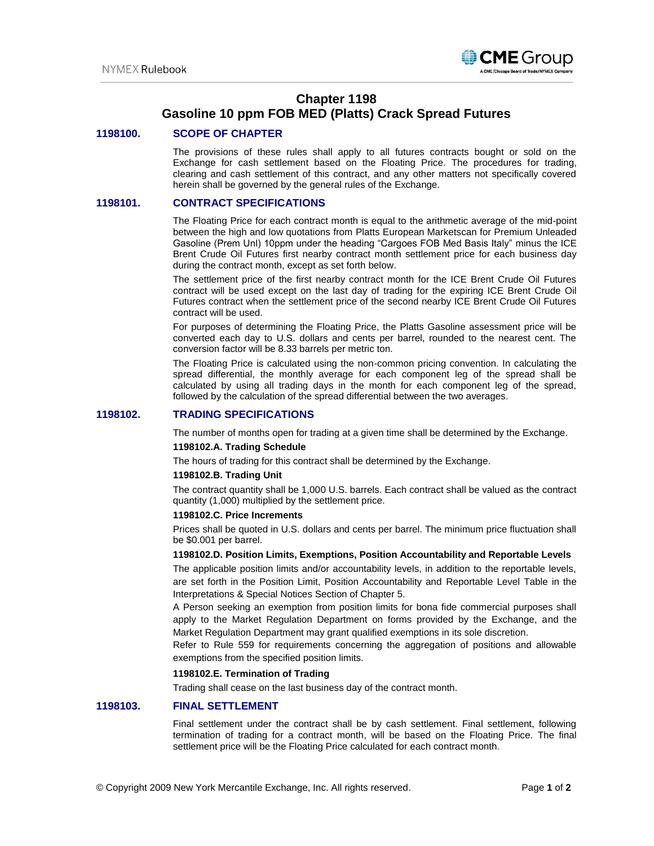

# **Chapter 1198**

## **Gasoline 10 ppm FOB MED (Platts) Crack Spread Futures**

## **1198100. SCOPE OF CHAPTER**

The provisions of these rules shall apply to all futures contracts bought or sold on the Exchange for cash settlement based on the Floating Price. The procedures for trading, clearing and cash settlement of this contract, and any other matters not specifically covered herein shall be governed by the general rules of the Exchange.

## **1198101. CONTRACT SPECIFICATIONS**

The Floating Price for each contract month is equal to the arithmetic average of the mid-point between the high and low quotations from Platts European Marketscan for Premium Unleaded Gasoline (Prem Unl) 10ppm under the heading "Cargoes FOB Med Basis Italy" minus the ICE Brent Crude Oil Futures first nearby contract month settlement price for each business day during the contract month, except as set forth below.

The settlement price of the first nearby contract month for the ICE Brent Crude Oil Futures contract will be used except on the last day of trading for the expiring ICE Brent Crude Oil Futures contract when the settlement price of the second nearby ICE Brent Crude Oil Futures contract will be used.

For purposes of determining the Floating Price, the Platts Gasoline assessment price will be converted each day to U.S. dollars and cents per barrel, rounded to the nearest cent. The conversion factor will be 8.33 barrels per metric ton.

The Floating Price is calculated using the non-common pricing convention. In calculating the spread differential, the monthly average for each component leg of the spread shall be calculated by using all trading days in the month for each component leg of the spread, followed by the calculation of the spread differential between the two averages.

## **1198102. TRADING SPECIFICATIONS**

The number of months open for trading at a given time shall be determined by the Exchange.

## **1198102.A. Trading Schedule**

The hours of trading for this contract shall be determined by the Exchange.

#### **1198102.B. Trading Unit**

The contract quantity shall be 1,000 U.S. barrels. Each contract shall be valued as the contract quantity (1,000) multiplied by the settlement price.

#### **1198102.C. Price Increments**

Prices shall be quoted in U.S. dollars and cents per barrel. The minimum price fluctuation shall be \$0.001 per barrel.

#### **1198102.D. Position Limits, Exemptions, Position Accountability and Reportable Levels**

The applicable position limits and/or accountability levels, in addition to the reportable levels, are set forth in the Position Limit, Position Accountability and Reportable Level Table in the Interpretations & Special Notices Section of Chapter 5.

A Person seeking an exemption from position limits for bona fide commercial purposes shall apply to the Market Regulation Department on forms provided by the Exchange, and the Market Regulation Department may grant qualified exemptions in its sole discretion.

Refer to Rule 559 for requirements concerning the aggregation of positions and allowable exemptions from the specified position limits.

## **1198102.E. Termination of Trading**

Trading shall cease on the last business day of the contract month.

## **1198103. FINAL SETTLEMENT**

Final settlement under the contract shall be by cash settlement. Final settlement, following termination of trading for a contract month, will be based on the Floating Price. The final settlement price will be the Floating Price calculated for each contract month.